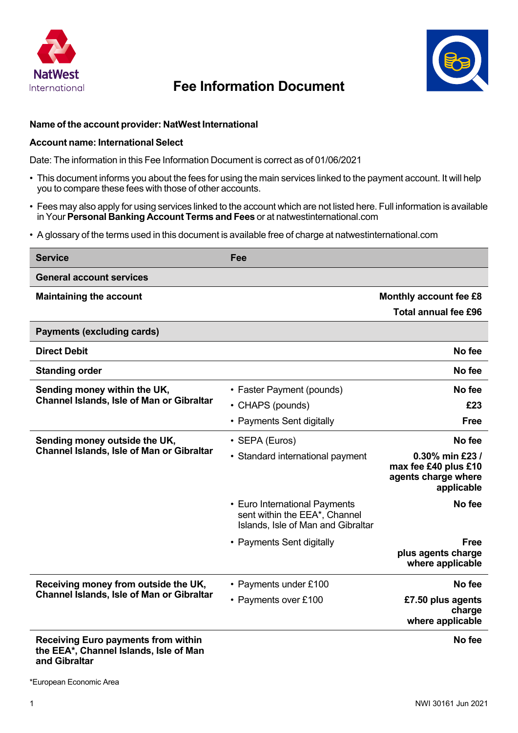

## **Fee Information Document**



## **Name of the account provider: NatWest International**

## **Account name: International Select**

Date: The information in this Fee Information Document is correct as of 01/06/2021

- This document informs you about the fees for using the main services linked to the payment account. It will help you to compare these fees with those of other accounts.
- Fees may also apply for using services linked to the account which are not listed here. Full information is available in Your **Personal Banking Account Terms and Fees** or at natwestinternational.com
- A glossary of the terms used in this document is available free of charge at natwestinternational.com

| <b>Service</b>                                                                       | Fee                                                                                                  |                                                                              |
|--------------------------------------------------------------------------------------|------------------------------------------------------------------------------------------------------|------------------------------------------------------------------------------|
| <b>General account services</b>                                                      |                                                                                                      |                                                                              |
| <b>Maintaining the account</b>                                                       |                                                                                                      | Monthly account fee £8                                                       |
|                                                                                      |                                                                                                      | <b>Total annual fee £96</b>                                                  |
| <b>Payments (excluding cards)</b>                                                    |                                                                                                      |                                                                              |
| <b>Direct Debit</b>                                                                  |                                                                                                      | No fee                                                                       |
| <b>Standing order</b>                                                                |                                                                                                      | No fee                                                                       |
| Sending money within the UK,<br><b>Channel Islands, Isle of Man or Gibraltar</b>     | • Faster Payment (pounds)                                                                            | No fee                                                                       |
|                                                                                      | • CHAPS (pounds)                                                                                     | £23                                                                          |
|                                                                                      | • Payments Sent digitally                                                                            | <b>Free</b>                                                                  |
| Sending money outside the UK,<br>Channel Islands, Isle of Man or Gibraltar           | • SEPA (Euros)                                                                                       | No fee                                                                       |
|                                                                                      | • Standard international payment                                                                     | 0.30% min £23 /<br>max fee £40 plus £10<br>agents charge where<br>applicable |
|                                                                                      | • Euro International Payments<br>sent within the EEA*, Channel<br>Islands, Isle of Man and Gibraltar | No fee                                                                       |
|                                                                                      | • Payments Sent digitally                                                                            | <b>Free</b><br>plus agents charge<br>where applicable                        |
| Receiving money from outside the UK,<br>Channel Islands, Isle of Man or Gibraltar    | • Payments under £100                                                                                | No fee                                                                       |
|                                                                                      | • Payments over £100                                                                                 | £7.50 plus agents<br>charge<br>where applicable                              |
| <b>Receiving Euro payments from within</b><br>the EEA*, Channel Islands, Isle of Man |                                                                                                      | No fee                                                                       |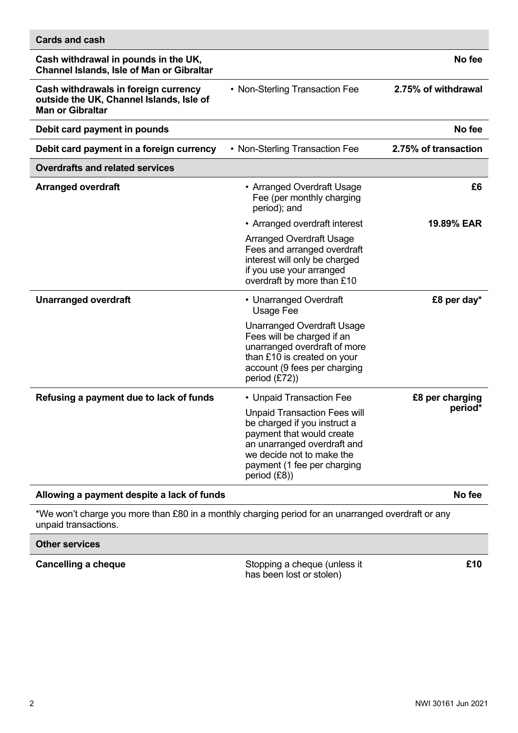| <b>Cards and cash</b>                                                                                       |                                                                                                                                                                                                             |                            |
|-------------------------------------------------------------------------------------------------------------|-------------------------------------------------------------------------------------------------------------------------------------------------------------------------------------------------------------|----------------------------|
| Cash withdrawal in pounds in the UK,<br><b>Channel Islands, Isle of Man or Gibraltar</b>                    |                                                                                                                                                                                                             | No fee                     |
| Cash withdrawals in foreign currency<br>outside the UK, Channel Islands, Isle of<br><b>Man or Gibraltar</b> | • Non-Sterling Transaction Fee                                                                                                                                                                              | 2.75% of withdrawal        |
| Debit card payment in pounds                                                                                |                                                                                                                                                                                                             | No fee                     |
| Debit card payment in a foreign currency                                                                    | • Non-Sterling Transaction Fee                                                                                                                                                                              | 2.75% of transaction       |
| <b>Overdrafts and related services</b>                                                                      |                                                                                                                                                                                                             |                            |
| <b>Arranged overdraft</b>                                                                                   | • Arranged Overdraft Usage<br>Fee (per monthly charging<br>period); and                                                                                                                                     | £6                         |
|                                                                                                             | • Arranged overdraft interest                                                                                                                                                                               | 19.89% EAR                 |
|                                                                                                             | <b>Arranged Overdraft Usage</b><br>Fees and arranged overdraft<br>interest will only be charged<br>if you use your arranged<br>overdraft by more than £10                                                   |                            |
| <b>Unarranged overdraft</b>                                                                                 | • Unarranged Overdraft<br>Usage Fee                                                                                                                                                                         | £8 per day*                |
|                                                                                                             | <b>Unarranged Overdraft Usage</b><br>Fees will be charged if an<br>unarranged overdraft of more<br>than £10 is created on your<br>account (9 fees per charging<br>period $(E72)$                            |                            |
| Refusing a payment due to lack of funds                                                                     | • Unpaid Transaction Fee                                                                                                                                                                                    | £8 per charging<br>period* |
|                                                                                                             | <b>Unpaid Transaction Fees will</b><br>be charged if you instruct a<br>payment that would create<br>an unarranged overdraft and<br>we decide not to make the<br>payment (1 fee per charging<br>period (£8)) |                            |
| Allowing a payment despite a lack of funds                                                                  |                                                                                                                                                                                                             | No fee                     |

\*We won't charge you more than £80 in a monthly charging period for an unarranged overdraft or any unpaid transactions.

## **Other services**

**Cancelling a cheque** Stopping a cheque (unless it has been lost or stolen)

**£10**